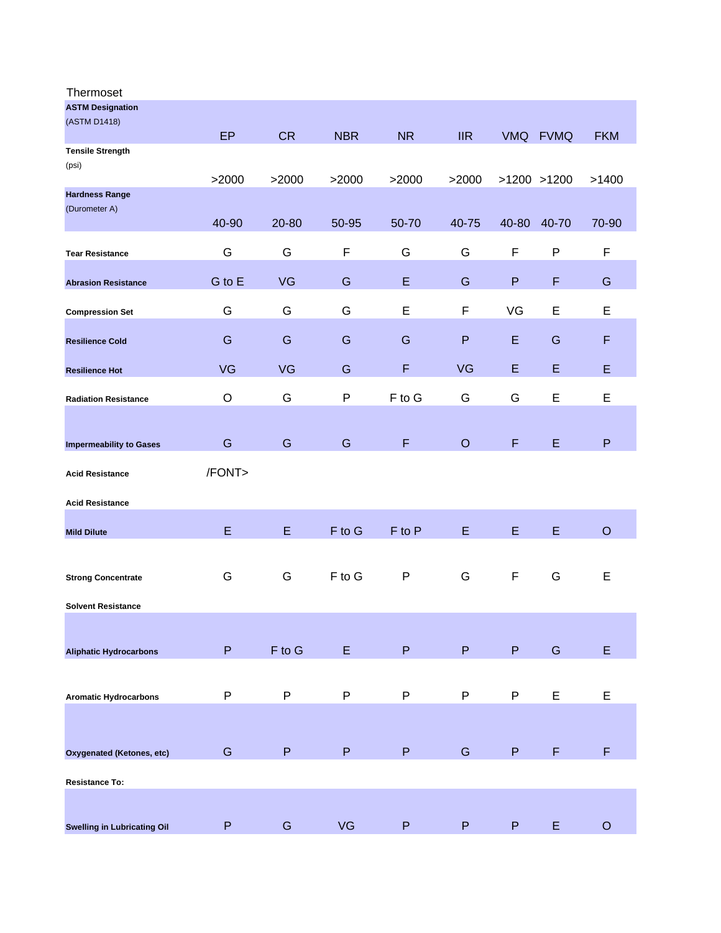| Thermoset                          |           |               |            |           |                           |              |                 |            |
|------------------------------------|-----------|---------------|------------|-----------|---------------------------|--------------|-----------------|------------|
| <b>ASTM Designation</b>            |           |               |            |           |                           |              |                 |            |
| (ASTM D1418)                       |           |               |            |           |                           |              |                 |            |
| <b>Tensile Strength</b>            | <b>EP</b> | <b>CR</b>     | <b>NBR</b> | <b>NR</b> | $\overline{\mathsf{IIR}}$ |              | VMQ FVMQ        | <b>FKM</b> |
| (psi)                              |           |               |            |           |                           |              |                 |            |
|                                    | >2000     | >2000         | >2000      | >2000     | >2000                     |              | $>1200$ $>1200$ | >1400      |
| <b>Hardness Range</b>              |           |               |            |           |                           |              |                 |            |
| (Durometer A)                      |           |               |            |           |                           |              |                 |            |
|                                    | 40-90     | 20-80         | 50-95      | 50-70     | 40-75                     | 40-80        | 40-70           | 70-90      |
| <b>Tear Resistance</b>             | G         | G             | F          | G         | G                         | F            | P               | F          |
|                                    |           |               |            |           |                           |              |                 |            |
| <b>Abrasion Resistance</b>         | G to E    | <b>VG</b>     | G          | E         | G                         | $\mathsf{P}$ | F               | G          |
|                                    |           |               |            |           |                           |              |                 |            |
| <b>Compression Set</b>             | G         | G             | G          | E         | F                         | VG           | E               | E          |
| <b>Resilience Cold</b>             | G         | G             | G          | G         | $\mathsf{P}$              | E            | G               | F          |
|                                    |           |               |            |           |                           |              |                 |            |
| <b>Resilience Hot</b>              | VG        | <b>VG</b>     | G          | F         | <b>VG</b>                 | E            | E               | E          |
|                                    |           |               |            |           |                           |              |                 |            |
| <b>Radiation Resistance</b>        | $\circ$   | G             | P          | F to G    | G                         | G            | E               | E          |
|                                    |           |               |            |           |                           |              |                 |            |
| <b>Impermeability to Gases</b>     | G         | G             | G          | F         | $\circ$                   | F            | E               | P          |
|                                    |           |               |            |           |                           |              |                 |            |
| <b>Acid Resistance</b>             | /FONT>    |               |            |           |                           |              |                 |            |
|                                    |           |               |            |           |                           |              |                 |            |
| <b>Acid Resistance</b>             |           |               |            |           |                           |              |                 |            |
| <b>Mild Dilute</b>                 | E         | E             | F to G     | F to P    | E                         | E            | E               | $\circ$    |
|                                    |           |               |            |           |                           |              |                 |            |
|                                    |           |               |            |           |                           |              |                 |            |
| <b>Strong Concentrate</b>          | G         | G             | F to G     | P         | G                         | F            | G               | E          |
| <b>Solvent Resistance</b>          |           |               |            |           |                           |              |                 |            |
|                                    |           |               |            |           |                           |              |                 |            |
|                                    |           |               |            |           |                           |              |                 |            |
| <b>Aliphatic Hydrocarbons</b>      | P         | $F$ to $G$    | E.         | P         | P                         | P.           | G               | E          |
|                                    |           |               |            |           |                           |              |                 |            |
|                                    |           |               |            |           |                           |              |                 |            |
| <b>Aromatic Hydrocarbons</b>       | P         | P             | P          | P         | P                         | P            | E               | E          |
|                                    |           |               |            |           |                           |              |                 |            |
|                                    |           |               |            |           |                           |              |                 |            |
| Oxygenated (Ketones, etc)          | G         | $\mathsf{P}$  | ${\sf P}$  | P         | G                         | P            | F               | F          |
|                                    |           |               |            |           |                           |              |                 |            |
| <b>Resistance To:</b>              |           |               |            |           |                           |              |                 |            |
|                                    |           |               |            |           |                           |              |                 |            |
| <b>Swelling in Lubricating Oil</b> | P         | ${\mathsf G}$ | <b>VG</b>  | ${\sf P}$ | $\sf P$                   | P            | E               | $\circ$    |